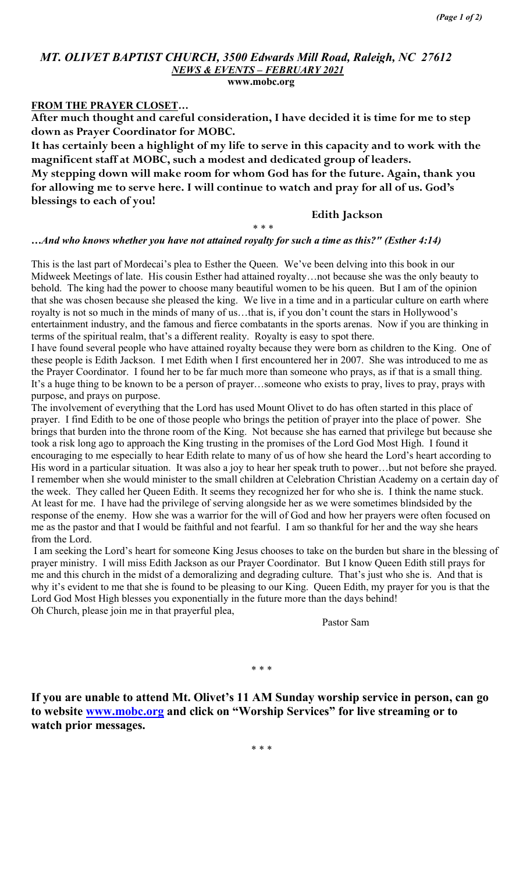# MT. OLIVET BAPTIST CHURCH, 3500 Edwards Mill Road, Raleigh, NC 27612 NEWS & EVENTS – FEBRUARY 2021

www.mobc.org

#### FROM THE PRAYER CLOSET…

After much thought and careful consideration, I have decided it is time for me to step down as Prayer Coordinator for MOBC.

It has certainly been a highlight of my life to serve in this capacity and to work with the magnificent staff at MOBC, such a modest and dedicated group of leaders.

My stepping down will make room for whom God has for the future. Again, thank you for allowing me to serve here. I will continue to watch and pray for all of us. God's blessings to each of you!

\* \* \*

Edith Jackson

#### …And who knows whether you have not attained royalty for such a time as this?" (Esther 4:14)

This is the last part of Mordecai's plea to Esther the Queen. We've been delving into this book in our Midweek Meetings of late. His cousin Esther had attained royalty…not because she was the only beauty to behold. The king had the power to choose many beautiful women to be his queen. But I am of the opinion that she was chosen because she pleased the king. We live in a time and in a particular culture on earth where royalty is not so much in the minds of many of us…that is, if you don't count the stars in Hollywood's entertainment industry, and the famous and fierce combatants in the sports arenas. Now if you are thinking in terms of the spiritual realm, that's a different reality. Royalty is easy to spot there.

I have found several people who have attained royalty because they were born as children to the King. One of these people is Edith Jackson. I met Edith when I first encountered her in 2007. She was introduced to me as the Prayer Coordinator. I found her to be far much more than someone who prays, as if that is a small thing. It's a huge thing to be known to be a person of prayer…someone who exists to pray, lives to pray, prays with purpose, and prays on purpose.

The involvement of everything that the Lord has used Mount Olivet to do has often started in this place of prayer. I find Edith to be one of those people who brings the petition of prayer into the place of power. She brings that burden into the throne room of the King. Not because she has earned that privilege but because she took a risk long ago to approach the King trusting in the promises of the Lord God Most High. I found it encouraging to me especially to hear Edith relate to many of us of how she heard the Lord's heart according to His word in a particular situation. It was also a joy to hear her speak truth to power…but not before she prayed. I remember when she would minister to the small children at Celebration Christian Academy on a certain day of the week. They called her Queen Edith. It seems they recognized her for who she is. I think the name stuck. At least for me. I have had the privilege of serving alongside her as we were sometimes blindsided by the response of the enemy. How she was a warrior for the will of God and how her prayers were often focused on me as the pastor and that I would be faithful and not fearful. I am so thankful for her and the way she hears from the Lord.

 I am seeking the Lord's heart for someone King Jesus chooses to take on the burden but share in the blessing of prayer ministry. I will miss Edith Jackson as our Prayer Coordinator. But I know Queen Edith still prays for me and this church in the midst of a demoralizing and degrading culture. That's just who she is. And that is why it's evident to me that she is found to be pleasing to our King. Queen Edith, my prayer for you is that the Lord God Most High blesses you exponentially in the future more than the days behind! Oh Church, please join me in that prayerful plea,

Pastor Sam

\* \* \*

If you are unable to attend Mt. Olivet's 11 AM Sunday worship service in person, can go to website www.mobc.org and click on "Worship Services" for live streaming or to watch prior messages.

\* \* \*